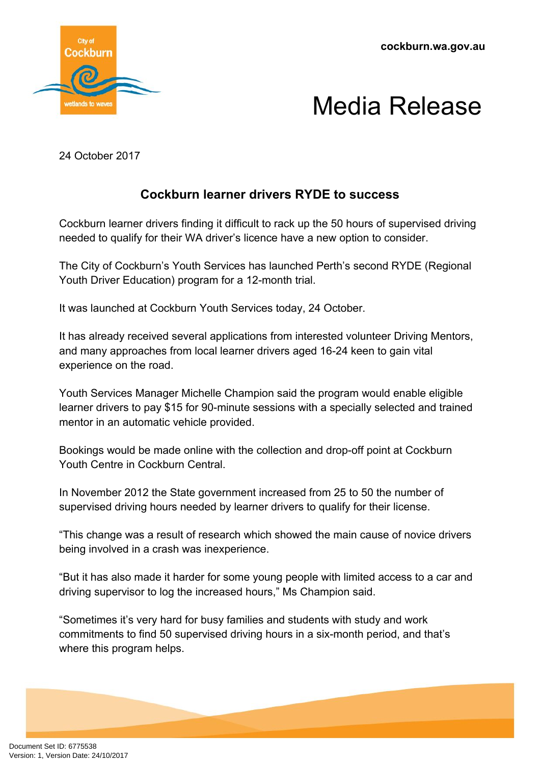**cockburn.wa.gov.au**



## Media Release

24 October 2017

## **Cockburn learner drivers RYDE to success**

Cockburn learner drivers finding it difficult to rack up the 50 hours of supervised driving needed to qualify for their WA driver's licence have a new option to consider.

The City of Cockburn's Youth Services has launched Perth's second RYDE (Regional Youth Driver Education) program for a 12-month trial.

It was launched at Cockburn Youth Services today, 24 October.

It has already received several applications from interested volunteer Driving Mentors, and many approaches from local learner drivers aged 16-24 keen to gain vital experience on the road.

Youth Services Manager Michelle Champion said the program would enable eligible learner drivers to pay \$15 for 90-minute sessions with a specially selected and trained mentor in an automatic vehicle provided.

Bookings would be made online with the collection and drop-off point at Cockburn Youth Centre in Cockburn Central.

In November 2012 the State government increased from 25 to 50 the number of supervised driving hours needed by learner drivers to qualify for their license.

"This change was a result of research which showed the main cause of novice drivers being involved in a crash was inexperience.

"But it has also made it harder for some young people with limited access to a car and driving supervisor to log the increased hours," Ms Champion said.

"Sometimes it's very hard for busy families and students with study and work commitments to find 50 supervised driving hours in a six-month period, and that's where this program helps.